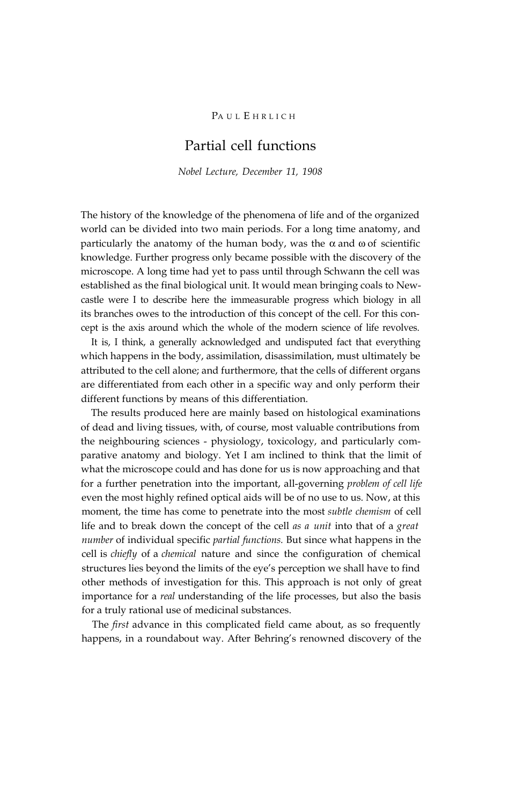# PAUL EHRLICH

# Partial cell functions

*Nobel Lecture, December 11, 1908*

The history of the knowledge of the phenomena of life and of the organized world can be divided into two main periods. For a long time anatomy, and particularly the anatomy of the human body, was the  $\alpha$  and  $\omega$  of scientific knowledge. Further progress only became possible with the discovery of the microscope. A long time had yet to pass until through Schwann the cell was established as the final biological unit. It would mean bringing coals to Newcastle were I to describe here the immeasurable progress which biology in all its branches owes to the introduction of this concept of the cell. For this concept is the axis around which the whole of the modern science of life revolves.

It is, I think, a generally acknowledged and undisputed fact that everything which happens in the body, assimilation, disassimilation, must ultimately be attributed to the cell alone; and furthermore, that the cells of different organs are differentiated from each other in a specific way and only perform their different functions by means of this differentiation.

The results produced here are mainly based on histological examinations of dead and living tissues, with, of course, most valuable contributions from the neighbouring sciences - physiology, toxicology, and particularly comparative anatomy and biology. Yet I am inclined to think that the limit of what the microscope could and has done for us is now approaching and that for a further penetration into the important, all-governing *problem of cell life* even the most highly refined optical aids will be of no use to us. Now, at this moment, the time has come to penetrate into the most *subtle chemism* of cell life and to break down the concept of the cell *as a unit* into that of a *great number* of individual specific *partial functions.* But since what happens in the cell is *chiefly* of a *chemical* nature and since the configuration of chemical structures lies beyond the limits of the eye's perception we shall have to find other methods of investigation for this. This approach is not only of great importance for a *real* understanding of the life processes, but also the basis for a truly rational use of medicinal substances.

The *first* advance in this complicated field came about, as so frequently happens, in a roundabout way. After Behring's renowned discovery of the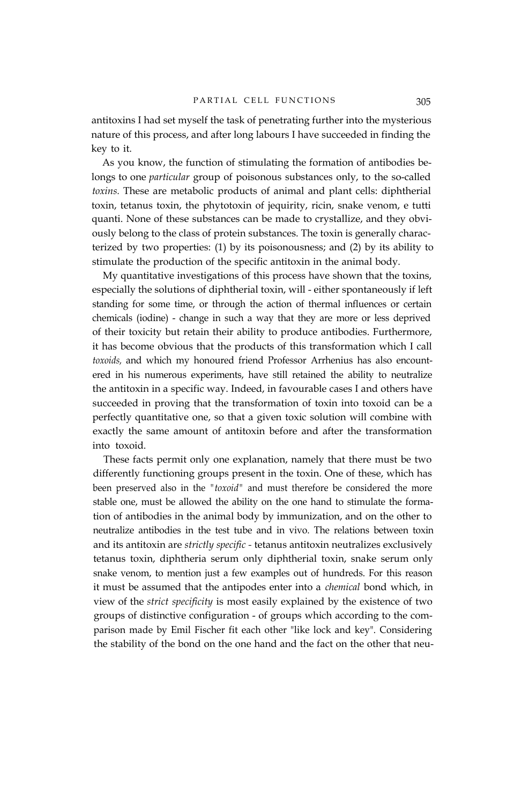antitoxins I had set myself the task of penetrating further into the mysterious nature of this process, and after long labours I have succeeded in finding the key to it.

As you know, the function of stimulating the formation of antibodies belongs to one *particular* group of poisonous substances only, to the so-called *toxins.* These are metabolic products of animal and plant cells: diphtherial toxin, tetanus toxin, the phytotoxin of jequirity, ricin, snake venom, e tutti quanti. None of these substances can be made to crystallize, and they obviously belong to the class of protein substances. The toxin is generally characterized by two properties: (1) by its poisonousness; and (2) by its ability to stimulate the production of the specific antitoxin in the animal body.

My quantitative investigations of this process have shown that the toxins, especially the solutions of diphtherial toxin, will - either spontaneously if left standing for some time, or through the action of thermal influences or certain chemicals (iodine) - change in such a way that they are more or less deprived of their toxicity but retain their ability to produce antibodies. Furthermore, it has become obvious that the products of this transformation which I call *toxoids,* and which my honoured friend Professor Arrhenius has also encountered in his numerous experiments, have still retained the ability to neutralize the antitoxin in a specific way. Indeed, in favourable cases I and others have succeeded in proving that the transformation of toxin into toxoid can be a perfectly quantitative one, so that a given toxic solution will combine with exactly the same amount of antitoxin before and after the transformation into toxoid.

These facts permit only one explanation, namely that there must be two differently functioning groups present in the toxin. One of these, which has been preserved also in the *"toxoid"* and must therefore be considered the more stable one, must be allowed the ability on the one hand to stimulate the formation of antibodies in the animal body by immunization, and on the other to neutralize antibodies in the test tube and in vivo. The relations between toxin and its antitoxin are *strictly specific -* tetanus antitoxin neutralizes exclusively tetanus toxin, diphtheria serum only diphtherial toxin, snake serum only snake venom, to mention just a few examples out of hundreds. For this reason it must be assumed that the antipodes enter into a *chemical* bond which, in view of the *strict specificity* is most easily explained by the existence of two groups of distinctive configuration - of groups which according to the comparison made by Emil Fischer fit each other "like lock and key". Considering the stability of the bond on the one hand and the fact on the other that neu-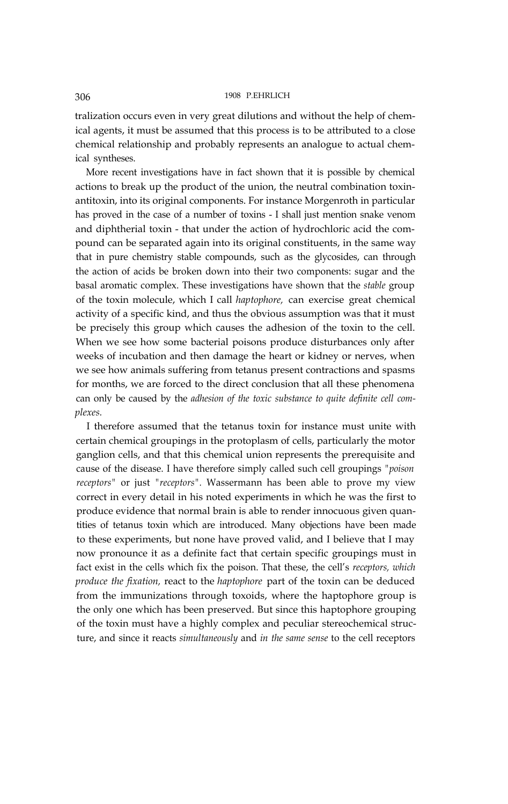tralization occurs even in very great dilutions and without the help of chemical agents, it must be assumed that this process is to be attributed to a close chemical relationship and probably represents an analogue to actual chemical syntheses.

More recent investigations have in fact shown that it is possible by chemical actions to break up the product of the union, the neutral combination toxinantitoxin, into its original components. For instance Morgenroth in particular has proved in the case of a number of toxins - I shall just mention snake venom and diphtherial toxin - that under the action of hydrochloric acid the compound can be separated again into its original constituents, in the same way that in pure chemistry stable compounds, such as the glycosides, can through the action of acids be broken down into their two components: sugar and the basal aromatic complex. These investigations have shown that the *stable* group of the toxin molecule, which I call *haptophore,* can exercise great chemical activity of a specific kind, and thus the obvious assumption was that it must be precisely this group which causes the adhesion of the toxin to the cell. When we see how some bacterial poisons produce disturbances only after weeks of incubation and then damage the heart or kidney or nerves, when we see how animals suffering from tetanus present contractions and spasms for months, we are forced to the direct conclusion that all these phenomena can only be caused by the *adhesion of the toxic substance to quite definite cell complexes.*

I therefore assumed that the tetanus toxin for instance must unite with certain chemical groupings in the protoplasm of cells, particularly the motor ganglion cells, and that this chemical union represents the prerequisite and cause of the disease. I have therefore simply called such cell groupings *"poison receptors"* or just *"receptors".* Wassermann has been able to prove my view correct in every detail in his noted experiments in which he was the first to produce evidence that normal brain is able to render innocuous given quantities of tetanus toxin which are introduced. Many objections have been made to these experiments, but none have proved valid, and I believe that I may now pronounce it as a definite fact that certain specific groupings must in fact exist in the cells which fix the poison. That these, the cell's *receptors, which produce the fixation,* react to the *haptophore* part of the toxin can be deduced from the immunizations through toxoids, where the haptophore group is the only one which has been preserved. But since this haptophore grouping of the toxin must have a highly complex and peculiar stereochemical structure, and since it reacts *simultaneously* and *in the same sense* to the cell receptors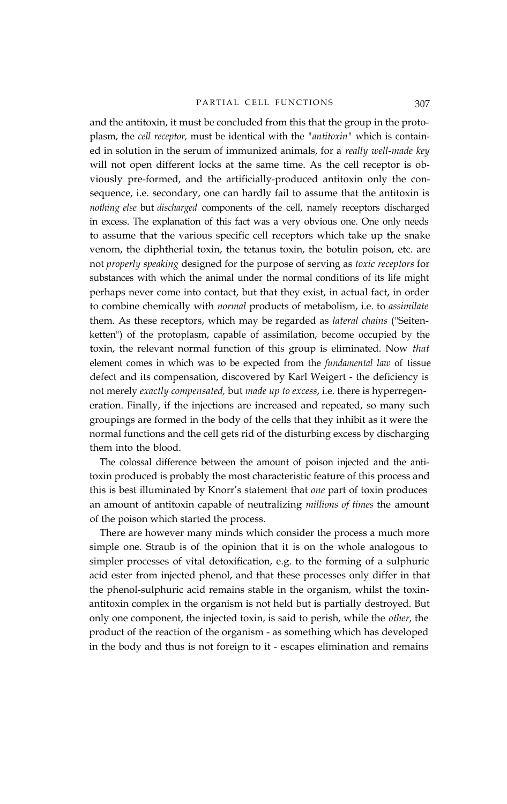### PARTIAL CELL FUNCTIONS 307

and the antitoxin, it must be concluded from this that the group in the protoplasm, the *cell receptor,* must be identical with the *"antitoxin"* which is contained in solution in the serum of immunized animals, for a *really well-made key* will not open different locks at the same time. As the cell receptor is obviously pre-formed, and the artificially-produced antitoxin only the consequence, i.e. secondary, one can hardly fail to assume that the antitoxin is *nothing else* but *discharged* components of the cell, namely receptors discharged in excess. The explanation of this fact was a very obvious one. One only needs to assume that the various specific cell receptors which take up the snake venom, the diphtherial toxin, the tetanus toxin, the botulin poison, etc. are not *properly speaking* designed for the purpose of serving as *toxic receptors* for substances with which the animal under the normal conditions of its life might perhaps never come into contact, but that they exist, in actual fact, in order to combine chemically with *normal* products of metabolism, i.e. to *assimilate* them. As these receptors, which may be regarded as *lateral chains* ("Seitenketten") of the protoplasm, capable of assimilation, become occupied by the toxin, the relevant normal function of this group is eliminated. Now *that* element comes in which was to be expected from the *fundamental law* of tissue defect and its compensation, discovered by Karl Weigert - the deficiency is not merely *exactly compensated,* but *made up to excess*, i.e. there is hyperregeneration. Finally, if the injections are increased and repeated, so many such groupings are formed in the body of the cells that they inhibit as it were the normal functions and the cell gets rid of the disturbing excess by discharging them into the blood.

The colossal difference between the amount of poison injected and the antitoxin produced is probably the most characteristic feature of this process and this is best illuminated by Knorr's statement that *one* part of toxin produces an amount of antitoxin capable of neutralizing *millions of times* the amount of the poison which started the process.

There are however many minds which consider the process a much more simple one. Straub is of the opinion that it is on the whole analogous to simpler processes of vital detoxification, e.g. to the forming of a sulphuric acid ester from injected phenol, and that these processes only differ in that the phenol-sulphuric acid remains stable in the organism, whilst the toxinantitoxin complex in the organism is not held but is partially destroyed. But only one component, the injected toxin, is said to perish, while the *other,* the product of the reaction of the organism - as something which has developed in the body and thus is not foreign to it - escapes elimination and remains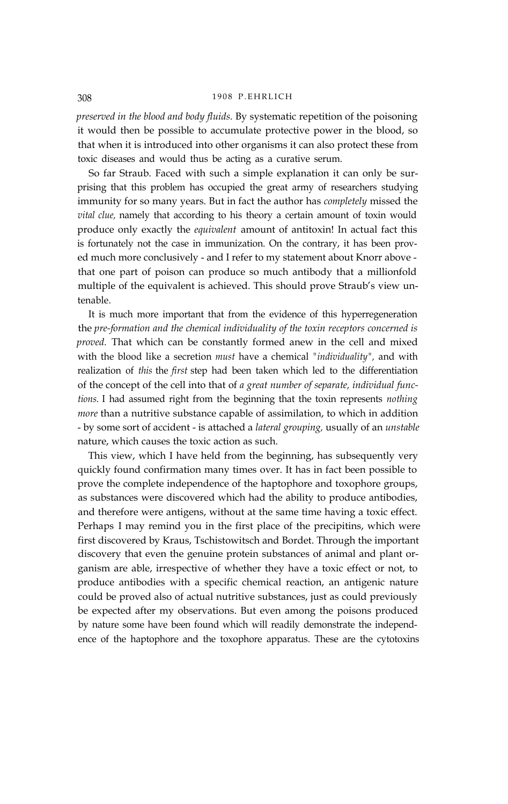*preserved in the blood and body fluids.* By systematic repetition of the poisoning it would then be possible to accumulate protective power in the blood, so that when it is introduced into other organisms it can also protect these from toxic diseases and would thus be acting as a curative serum.

So far Straub. Faced with such a simple explanation it can only be surprising that this problem has occupied the great army of researchers studying immunity for so many years. But in fact the author has *completely* missed the *vital clue,* namely that according to his theory a certain amount of toxin would produce only exactly the *equivalent* amount of antitoxin! In actual fact this is fortunately not the case in immunization. On the contrary, it has been proved much more conclusively - and I refer to my statement about Knorr above that one part of poison can produce so much antibody that a millionfold multiple of the equivalent is achieved. This should prove Straub's view untenable.

It is much more important that from the evidence of this hyperregeneration the *pre-formation and the chemical individuality of the toxin receptors concerned is proved.* That which can be constantly formed anew in the cell and mixed with the blood like a secretion *must* have a chemical *"individuality",* and with realization of *this* the *first* step had been taken which led to the differentiation of the concept of the cell into that of *a great number of separate, individual functions.* I had assumed right from the beginning that the toxin represents *nothing more* than a nutritive substance capable of assimilation, to which in addition - by some sort of accident - is attached a *lateral grouping,* usually of an *unstable* nature, which causes the toxic action as such.

This view, which I have held from the beginning, has subsequently very quickly found confirmation many times over. It has in fact been possible to prove the complete independence of the haptophore and toxophore groups, as substances were discovered which had the ability to produce antibodies, and therefore were antigens, without at the same time having a toxic effect. Perhaps I may remind you in the first place of the precipitins, which were first discovered by Kraus, Tschistowitsch and Bordet. Through the important discovery that even the genuine protein substances of animal and plant organism are able, irrespective of whether they have a toxic effect or not, to produce antibodies with a specific chemical reaction, an antigenic nature could be proved also of actual nutritive substances, just as could previously be expected after my observations. But even among the poisons produced by nature some have been found which will readily demonstrate the independence of the haptophore and the toxophore apparatus. These are the cytotoxins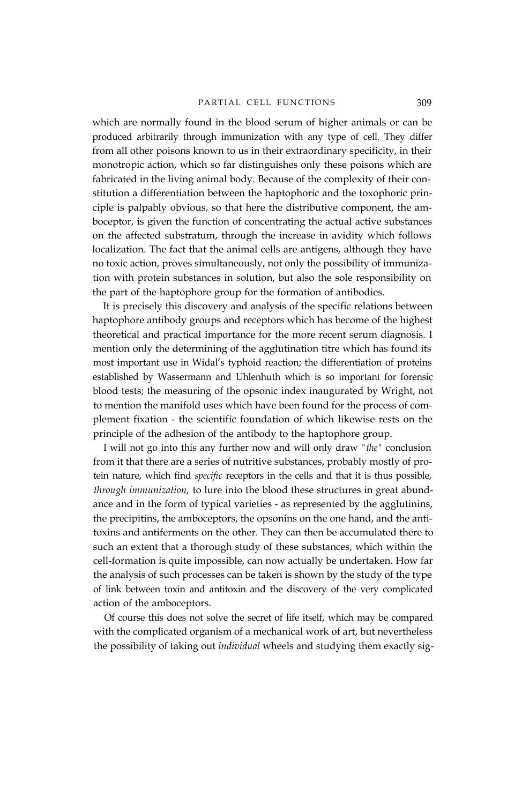which are normally found in the blood serum of higher animals or can be produced arbitrarily through immunization with any type of cell. They differ from all other poisons known to us in their extraordinary specificity, in their monotropic action, which so far distinguishes only these poisons which are fabricated in the living animal body. Because of the complexity of their constitution a differentiation between the haptophoric and the toxophoric principle is palpably obvious, so that here the distributive component, the amboceptor, is given the function of concentrating the actual active substances on the affected substratum, through the increase in avidity which follows localization. The fact that the animal cells are antigens, although they have no toxic action, proves simultaneously, not only the possibility of immunization with protein substances in solution, but also the sole responsibility on the part of the haptophore group for the formation of antibodies.

It is precisely this discovery and analysis of the specific relations between haptophore antibody groups and receptors which has become of the highest theoretical and practical importance for the more recent serum diagnosis. I mention only the determining of the agglutination titre which has found its most important use in Widal's typhoid reaction; the differentiation of proteins established by Wassermann and Uhlenhuth which is so important for forensic blood tests; the measuring of the opsonic index inaugurated by Wright, not to mention the manifold uses which have been found for the process of complement fixation - the scientific foundation of which likewise rests on the principle of the adhesion of the antibody to the haptophore group.

I will not go into this any further now and will only draw *"the"* conclusion from it that there are a series of nutritive substances, probably mostly of protein nature, which find *specific* receptors in the cells and that it is thus possible, *through immunization,* to lure into the blood these structures in great abundance and in the form of typical varieties - as represented by the agglutinins, the precipitins, the amboceptors, the opsonins on the one hand, and the antitoxins and antiferments on the other. They can then be accumulated there to such an extent that a thorough study of these substances, which within the cell-formation is quite impossible, can now actually be undertaken. How far the analysis of such processes can be taken is shown by the study of the type of link between toxin and antitoxin and the discovery of the very complicated action of the amboceptors.

Of course this does not solve the secret of life itself, which may be compared with the complicated organism of a mechanical work of art, but nevertheless the possibility of taking out *individual* wheels and studying them exactly sig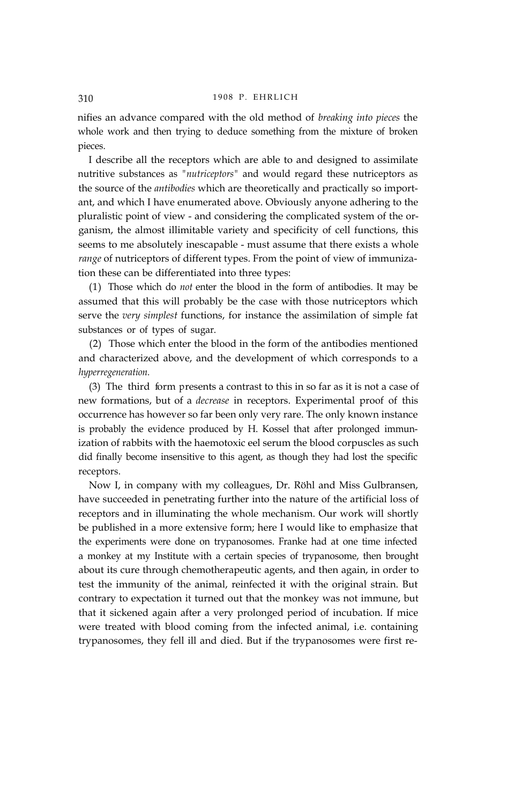nifies an advance compared with the old method of *breaking into pieces* the whole work and then trying to deduce something from the mixture of broken pieces.

I describe all the receptors which are able to and designed to assimilate nutritive substances as *"nutriceptors"* and would regard these nutriceptors as the source of the *antibodies* which are theoretically and practically so important, and which I have enumerated above. Obviously anyone adhering to the pluralistic point of view - and considering the complicated system of the organism, the almost illimitable variety and specificity of cell functions, this seems to me absolutely inescapable - must assume that there exists a whole *range* of nutriceptors of different types. From the point of view of immunization these can be differentiated into three types:

(1) Those which do *not* enter the blood in the form of antibodies. It may be assumed that this will probably be the case with those nutriceptors which serve the *very simplest* functions, for instance the assimilation of simple fat substances or of types of sugar.

(2) Those which enter the blood in the form of the antibodies mentioned and characterized above, and the development of which corresponds to a *hyperregeneration.*

(3) The third form presents a contrast to this in so far as it is not a case of new formations, but of a *decrease* in receptors. Experimental proof of this occurrence has however so far been only very rare. The only known instance is probably the evidence produced by H. Kossel that after prolonged immunization of rabbits with the haemotoxic eel serum the blood corpuscles as such did finally become insensitive to this agent, as though they had lost the specific receptors.

Now I, in company with my colleagues, Dr. Röhl and Miss Gulbransen, have succeeded in penetrating further into the nature of the artificial loss of receptors and in illuminating the whole mechanism. Our work will shortly be published in a more extensive form; here I would like to emphasize that the experiments were done on trypanosomes. Franke had at one time infected a monkey at my Institute with a certain species of trypanosome, then brought about its cure through chemotherapeutic agents, and then again, in order to test the immunity of the animal, reinfected it with the original strain. But contrary to expectation it turned out that the monkey was not immune, but that it sickened again after a very prolonged period of incubation. If mice were treated with blood coming from the infected animal, i.e. containing trypanosomes, they fell ill and died. But if the trypanosomes were first re-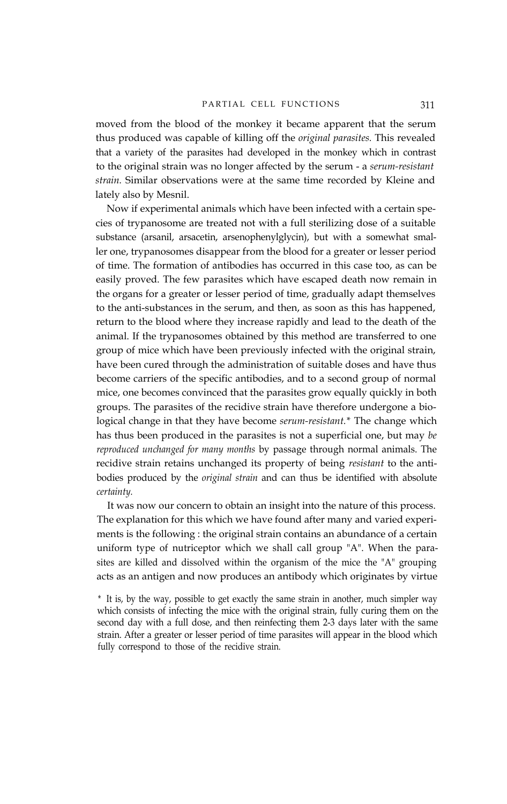moved from the blood of the monkey it became apparent that the serum thus produced was capable of killing off the *original parasites.* This revealed that a variety of the parasites had developed in the monkey which in contrast to the original strain was no longer affected by the serum - a *serum-resistant strain.* Similar observations were at the same time recorded by Kleine and lately also by Mesnil.

Now if experimental animals which have been infected with a certain species of trypanosome are treated not with a full sterilizing dose of a suitable substance (arsanil, arsacetin, arsenophenylglycin), but with a somewhat smaller one, trypanosomes disappear from the blood for a greater or lesser period of time. The formation of antibodies has occurred in this case too, as can be easily proved. The few parasites which have escaped death now remain in the organs for a greater or lesser period of time, gradually adapt themselves to the anti-substances in the serum, and then, as soon as this has happened, return to the blood where they increase rapidly and lead to the death of the animal. If the trypanosomes obtained by this method are transferred to one group of mice which have been previously infected with the original strain, have been cured through the administration of suitable doses and have thus become carriers of the specific antibodies, and to a second group of normal mice, one becomes convinced that the parasites grow equally quickly in both groups. The parasites of the recidive strain have therefore undergone a biological change in that they have become *serum-resistant.\** The change which has thus been produced in the parasites is not a superficial one, but may *be reproduced unchanged for many months* by passage through normal animals. The recidive strain retains unchanged its property of being *resistant* to the antibodies produced by the *original strain* and can thus be identified with absolute *certainty.*

It was now our concern to obtain an insight into the nature of this process. The explanation for this which we have found after many and varied experiments is the following : the original strain contains an abundance of a certain uniform type of nutriceptor which we shall call group "A". When the parasites are killed and dissolved within the organism of the mice the "A" grouping acts as an antigen and now produces an antibody which originates by virtue

\* It is, by the way, possible to get exactly the same strain in another, much simpler way which consists of infecting the mice with the original strain, fully curing them on the second day with a full dose, and then reinfecting them 2-3 days later with the same strain. After a greater or lesser period of time parasites will appear in the blood which fully correspond to those of the recidive strain.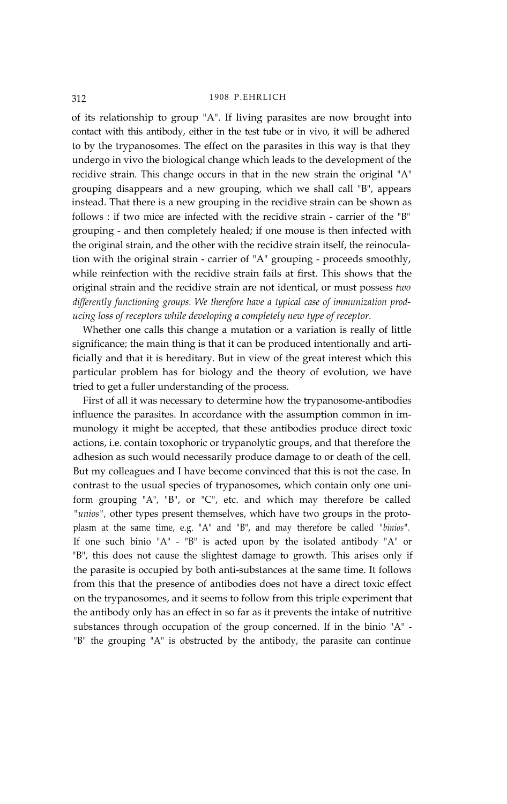of its relationship to group "A". If living parasites are now brought into contact with this antibody, either in the test tube or in vivo, it will be adhered to by the trypanosomes. The effect on the parasites in this way is that they undergo in vivo the biological change which leads to the development of the recidive strain. This change occurs in that in the new strain the original "A" grouping disappears and a new grouping, which we shall call "B", appears instead. That there is a new grouping in the recidive strain can be shown as follows : if two mice are infected with the recidive strain - carrier of the "B" grouping - and then completely healed; if one mouse is then infected with the original strain, and the other with the recidive strain itself, the reinoculation with the original strain - carrier of "A" grouping - proceeds smoothly, while reinfection with the recidive strain fails at first. This shows that the original strain and the recidive strain are not identical, or must possess *two differently functioning groups. We therefore have a typical case of immunization producing loss of receptors while developing a completely new type of receptor.*

Whether one calls this change a mutation or a variation is really of little significance; the main thing is that it can be produced intentionally and artificially and that it is hereditary. But in view of the great interest which this particular problem has for biology and the theory of evolution, we have tried to get a fuller understanding of the process.

First of all it was necessary to determine how the trypanosome-antibodies influence the parasites. In accordance with the assumption common in immunology it might be accepted, that these antibodies produce direct toxic actions, i.e. contain toxophoric or trypanolytic groups, and that therefore the adhesion as such would necessarily produce damage to or death of the cell. But my colleagues and I have become convinced that this is not the case. In contrast to the usual species of trypanosomes, which contain only one uniform grouping "A", "B", or "C", etc. and which may therefore be called *"unios",* other types present themselves, which have two groups in the protoplasm at the same time, e.g. "A" and "B", and may therefore be called *"binios".* If one such binio "A" - "B" is acted upon by the isolated antibody "A" or "B", this does not cause the slightest damage to growth. This arises only if the parasite is occupied by both anti-substances at the same time. It follows from this that the presence of antibodies does not have a direct toxic effect on the trypanosomes, and it seems to follow from this triple experiment that the antibody only has an effect in so far as it prevents the intake of nutritive substances through occupation of the group concerned. If in the binio "A" - "B" the grouping "A" is obstructed by the antibody, the parasite can continue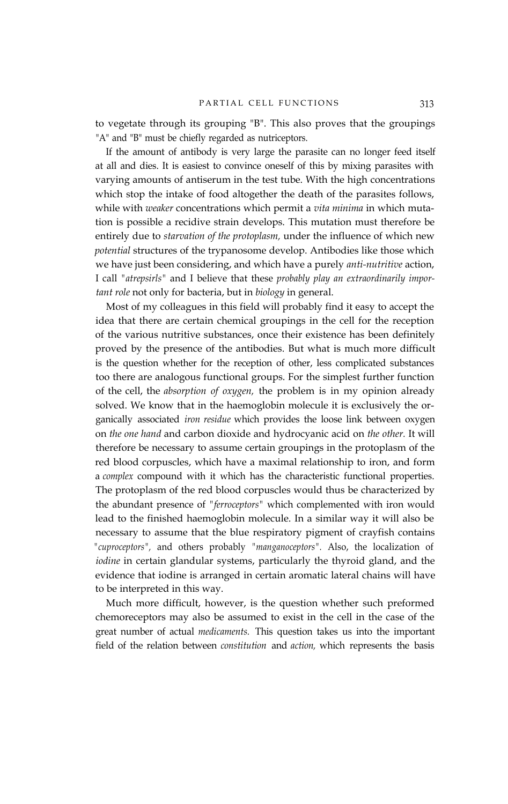to vegetate through its grouping "B". This also proves that the groupings "A" and "B" must be chiefly regarded as nutriceptors.

If the amount of antibody is very large the parasite can no longer feed itself at all and dies. It is easiest to convince oneself of this by mixing parasites with varying amounts of antiserum in the test tube. With the high concentrations which stop the intake of food altogether the death of the parasites follows, while with *weaker* concentrations which permit a *vita minima* in which mutation is possible a recidive strain develops. This mutation must therefore be entirely due to *starvation of the protoplasm,* under the influence of which new *potential* structures of the trypanosome develop. Antibodies like those which we have just been considering, and which have a purely *anti-nutritive* action, I call *"atrepsirls"* and I believe that these *probably play an extraordinarily important role* not only for bacteria, but in *biology* in general.

Most of my colleagues in this field will probably find it easy to accept the idea that there are certain chemical groupings in the cell for the reception of the various nutritive substances, once their existence has been definitely proved by the presence of the antibodies. But what is much more difficult is the question whether for the reception of other, less complicated substances too there are analogous functional groups. For the simplest further function of the cell, the *absorption of oxygen,* the problem is in my opinion already solved. We know that in the haemoglobin molecule it is exclusively the organically associated *iron residue* which provides the loose link between oxygen on *the one hand* and carbon dioxide and hydrocyanic acid on *the other.* It will therefore be necessary to assume certain groupings in the protoplasm of the red blood corpuscles, which have a maximal relationship to iron, and form a *complex* compound with it which has the characteristic functional properties. The protoplasm of the red blood corpuscles would thus be characterized by the abundant presence of *"ferroceptors"* which complemented with iron would lead to the finished haemoglobin molecule. In a similar way it will also be necessary to assume that the blue respiratory pigment of crayfish contains *"cuproceptors",* and others probably *"manganoceptors".* Also, the localization of *iodine* in certain glandular systems, particularly the thyroid gland, and the evidence that iodine is arranged in certain aromatic lateral chains will have to be interpreted in this way.

Much more difficult, however, is the question whether such preformed chemoreceptors may also be assumed to exist in the cell in the case of the great number of actual *medicaments.* This question takes us into the important field of the relation between *constitution* and *action,* which represents the basis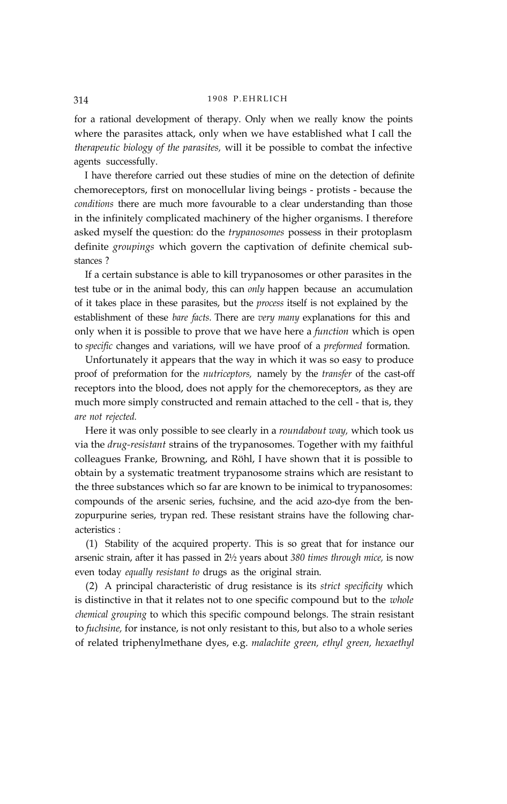for a rational development of therapy. Only when we really know the points where the parasites attack, only when we have established what I call the *therapeutic biology of the parasites,* will it be possible to combat the infective agents successfully.

I have therefore carried out these studies of mine on the detection of definite chemoreceptors, first on monocellular living beings - protists - because the *conditions* there are much more favourable to a clear understanding than those in the infinitely complicated machinery of the higher organisms. I therefore asked myself the question: do the *trypanosomes* possess in their protoplasm definite *groupings* which govern the captivation of definite chemical substances ?

If a certain substance is able to kill trypanosomes or other parasites in the test tube or in the animal body, this can *only* happen because an accumulation of it takes place in these parasites, but the *process* itself is not explained by the establishment of these *bare facts.* There are *very many* explanations for this and only when it is possible to prove that we have here a *function* which is open to *specific* changes and variations, will we have proof of a *preformed* formation.

Unfortunately it appears that the way in which it was so easy to produce proof of preformation for the *nutriceptors,* namely by the *transfer* of the cast-off receptors into the blood, does not apply for the chemoreceptors, as they are much more simply constructed and remain attached to the cell - that is, they *are not rejected.*

Here it was only possible to see clearly in a *roundabout way,* which took us via the *drug-resistant* strains of the trypanosomes. Together with my faithful colleagues Franke, Browning, and Röhl, I have shown that it is possible to obtain by a systematic treatment trypanosome strains which are resistant to the three substances which so far are known to be inimical to trypanosomes: compounds of the arsenic series, fuchsine, and the acid azo-dye from the benzopurpurine series, trypan red. These resistant strains have the following characteristics :

(1) Stability of the acquired property. This is so great that for instance our arsenic strain, after it has passed in 2½ years about *380 times through mice,* is now even today *equally resistant to* drugs as the original strain.

(2) A principal characteristic of drug resistance is its *strict specificity* which is distinctive in that it relates not to one specific compound but to the *whole chemical grouping* to which this specific compound belongs. The strain resistant to *fuchsine,* for instance, is not only resistant to this, but also to a whole series of related triphenylmethane dyes, e.g. *malachite green, ethyl green, hexaethyl*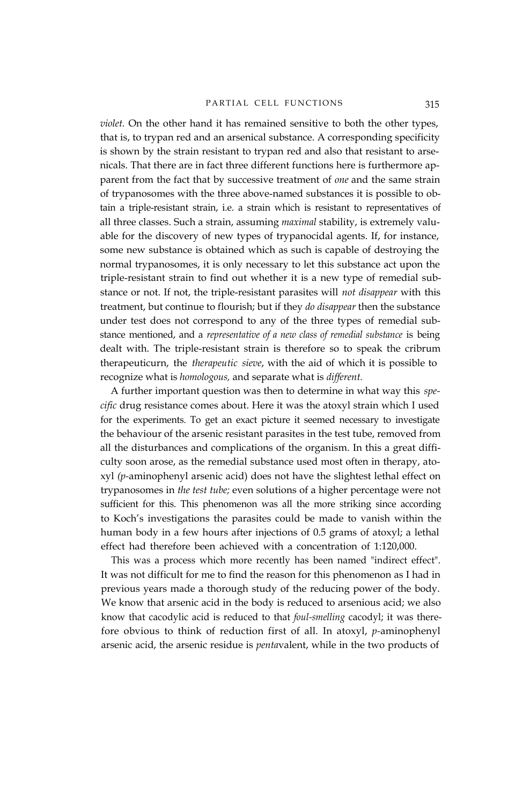#### PARTIAL CELL FUNCTIONS 315

*violet.* On the other hand it has remained sensitive to both the other types, that is, to trypan red and an arsenical substance. A corresponding specificity is shown by the strain resistant to trypan red and also that resistant to arsenicals. That there are in fact three different functions here is furthermore apparent from the fact that by successive treatment of *one* and the same strain of trypanosomes with the three above-named substances it is possible to obtain a triple-resistant strain, i.e. a strain which is resistant to representatives of all three classes. Such a strain, assuming *maximal* stability, is extremely valuable for the discovery of new types of trypanocidal agents. If, for instance, some new substance is obtained which as such is capable of destroying the normal trypanosomes, it is only necessary to let this substance act upon the triple-resistant strain to find out whether it is a new type of remedial substance or not. If not, the triple-resistant parasites will *not disappear* with this treatment, but continue to flourish; but if they *do disappear* then the substance under test does not correspond to any of the three types of remedial substance mentioned, and a *representative of a new class of remedial substance* is being dealt with. The triple-resistant strain is therefore so to speak the cribrum therapeuticurn, the *therapeutic sieve*, with the aid of which it is possible to recognize what is *homologous,* and separate what is *different.*

A further important question was then to determine in what way this *specific* drug resistance comes about. Here it was the atoxyl strain which I used for the experiments. To get an exact picture it seemed necessary to investigate the behaviour of the arsenic resistant parasites in the test tube, removed from all the disturbances and complications of the organism. In this a great difficulty soon arose, as the remedial substance used most often in therapy, atoxyl *(p-*aminophenyl arsenic acid) does not have the slightest lethal effect on trypanosomes in *the test tube;* even solutions of a higher percentage were not sufficient for this. This phenomenon was all the more striking since according to Koch's investigations the parasites could be made to vanish within the human body in a few hours after injections of 0.5 grams of atoxyl; a lethal effect had therefore been achieved with a concentration of 1:120,000.

This was a process which more recently has been named "indirect effect". It was not difficult for me to find the reason for this phenomenon as I had in previous years made a thorough study of the reducing power of the body. We know that arsenic acid in the body is reduced to arsenious acid; we also know that cacodylic acid is reduced to that *foul-smelling* cacodyl; it was therefore obvious to think of reduction first of all. In atoxyl, *p-*aminophenyl arsenic acid, the arsenic residue is *penta*valent, while in the two products of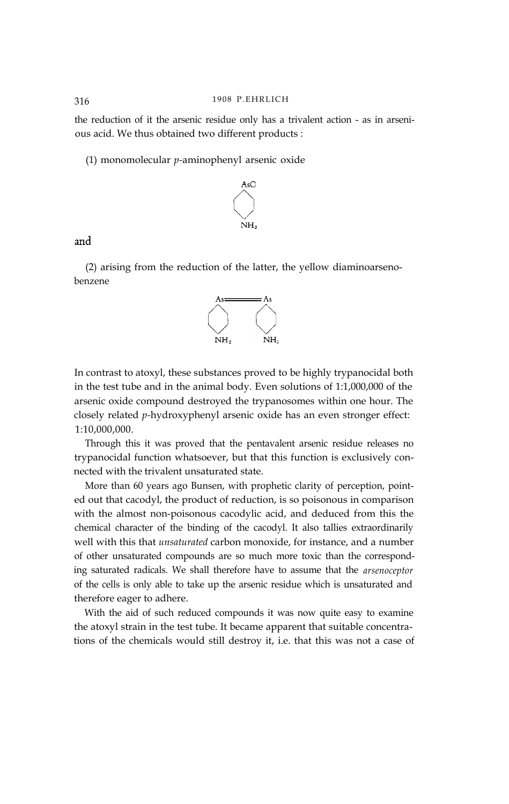the reduction of it the arsenic residue only has a trivalent action - as in arsenious acid. We thus obtained two different products :

(1) monomolecular *p-*aminophenyl arsenic oxide



and

(2) arising from the reduction of the latter, the yellow diaminoarsenobenzene



In contrast to atoxyl, these substances proved to be highly trypanocidal both in the test tube and in the animal body. Even solutions of 1:1,000,000 of the arsenic oxide compound destroyed the trypanosomes within one hour. The closely related *p-*hydroxyphenyl arsenic oxide has an even stronger effect: 1:10,000,000.

Through this it was proved that the pentavalent arsenic residue releases no trypanocidal function whatsoever, but that this function is exclusively connected with the trivalent unsaturated state.

More than 60 years ago Bunsen, with prophetic clarity of perception, pointed out that cacodyl, the product of reduction, is so poisonous in comparison with the almost non-poisonous cacodylic acid, and deduced from this the chemical character of the binding of the cacodyl. It also tallies extraordinarily well with this that *unsaturated* carbon monoxide, for instance, and a number of other unsaturated compounds are so much more toxic than the corresponding saturated radicals. We shall therefore have to assume that the *arsenoceptor* of the cells is only able to take up the arsenic residue which is unsaturated and therefore eager to adhere.

With the aid of such reduced compounds it was now quite easy to examine the atoxyl strain in the test tube. It became apparent that suitable concentrations of the chemicals would still destroy it, i.e. that this was not a case of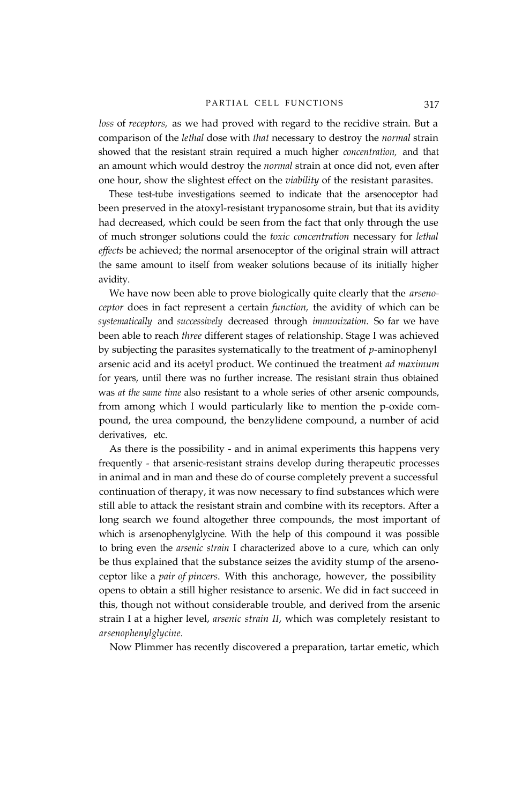*loss* of *receptors,* as we had proved with regard to the recidive strain. But a comparison of the *lethal* dose with *that* necessary to destroy the *normal* strain showed that the resistant strain required a much higher *concentration,* and that an amount which would destroy the *normal* strain at once did not, even after one hour, show the slightest effect on the *viability* of the resistant parasites.

These test-tube investigations seemed to indicate that the arsenoceptor had been preserved in the atoxyl-resistant trypanosome strain, but that its avidity had decreased, which could be seen from the fact that only through the use of much stronger solutions could the *toxic concentration* necessary for *lethal effects* be achieved; the normal arsenoceptor of the original strain will attract the same amount to itself from weaker solutions because of its initially higher avidity.

We have now been able to prove biologically quite clearly that the *arsenoceptor* does in fact represent a certain *function,* the avidity of which can be *systematically* and *successively* decreased through *immunization.* So far we have been able to reach *three* different stages of relationship. Stage I was achieved by subjecting the parasites systematically to the treatment of *p-*aminophenyl arsenic acid and its acetyl product. We continued the treatment *ad maximum* for years, until there was no further increase. The resistant strain thus obtained was *at the same time* also resistant to a whole series of other arsenic compounds, from among which I would particularly like to mention the p-oxide compound, the urea compound, the benzylidene compound, a number of acid derivatives, etc.

As there is the possibility - and in animal experiments this happens very frequently - that arsenic-resistant strains develop during therapeutic processes in animal and in man and these do of course completely prevent a successful continuation of therapy, it was now necessary to find substances which were still able to attack the resistant strain and combine with its receptors. After a long search we found altogether three compounds, the most important of which is arsenophenylglycine. With the help of this compound it was possible to bring even the *arsenic strain* I characterized above to a cure, which can only be thus explained that the substance seizes the avidity stump of the arsenoceptor like a *pair of pincers*. With this anchorage, however, the possibility opens to obtain a still higher resistance to arsenic. We did in fact succeed in this, though not without considerable trouble, and derived from the arsenic strain I at a higher level, *arsenic strain II*, which was completely resistant to *arsenophenylglycine.*

Now Plimmer has recently discovered a preparation, tartar emetic, which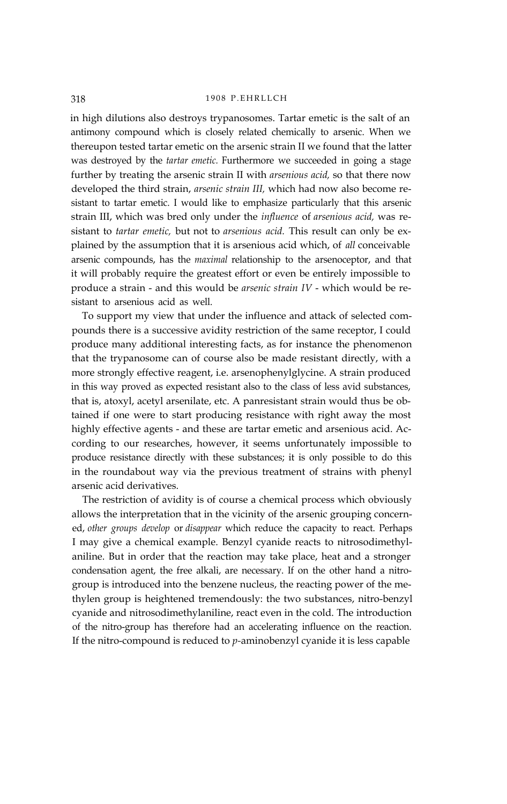in high dilutions also destroys trypanosomes. Tartar emetic is the salt of an antimony compound which is closely related chemically to arsenic. When we thereupon tested tartar emetic on the arsenic strain II we found that the latter was destroyed by the *tartar emetic.* Furthermore we succeeded in going a stage further by treating the arsenic strain II with *arsenious acid,* so that there now developed the third strain, *arsenic strain III,* which had now also become resistant to tartar emetic. I would like to emphasize particularly that this arsenic strain III, which was bred only under the *influence* of *arsenious acid,* was resistant to *tartar emetic,* but not to *arsenious acid.* This result can only be explained by the assumption that it is arsenious acid which, of *all* conceivable arsenic compounds, has the *maximal* relationship to the arsenoceptor, and that it will probably require the greatest effort or even be entirely impossible to produce a strain - and this would be *arsenic strain IV* - which would be resistant to arsenious acid as well.

To support my view that under the influence and attack of selected compounds there is a successive avidity restriction of the same receptor, I could produce many additional interesting facts, as for instance the phenomenon that the trypanosome can of course also be made resistant directly, with a more strongly effective reagent, i.e. arsenophenylglycine. A strain produced in this way proved as expected resistant also to the class of less avid substances, that is, atoxyl, acetyl arsenilate, etc. A panresistant strain would thus be obtained if one were to start producing resistance with right away the most highly effective agents - and these are tartar emetic and arsenious acid. According to our researches, however, it seems unfortunately impossible to produce resistance directly with these substances; it is only possible to do this in the roundabout way via the previous treatment of strains with phenyl arsenic acid derivatives.

The restriction of avidity is of course a chemical process which obviously allows the interpretation that in the vicinity of the arsenic grouping concerned, *other groups develop* or *disappear* which reduce the capacity to react. Perhaps I may give a chemical example. Benzyl cyanide reacts to nitrosodimethylaniline. But in order that the reaction may take place, heat and a stronger condensation agent, the free alkali, are necessary. If on the other hand a nitrogroup is introduced into the benzene nucleus, the reacting power of the methylen group is heightened tremendously: the two substances, nitro-benzyl cyanide and nitrosodimethylaniline, react even in the cold. The introduction of the nitro-group has therefore had an accelerating influence on the reaction. If the nitro-compound is reduced to *p-*aminobenzyl cyanide it is less capable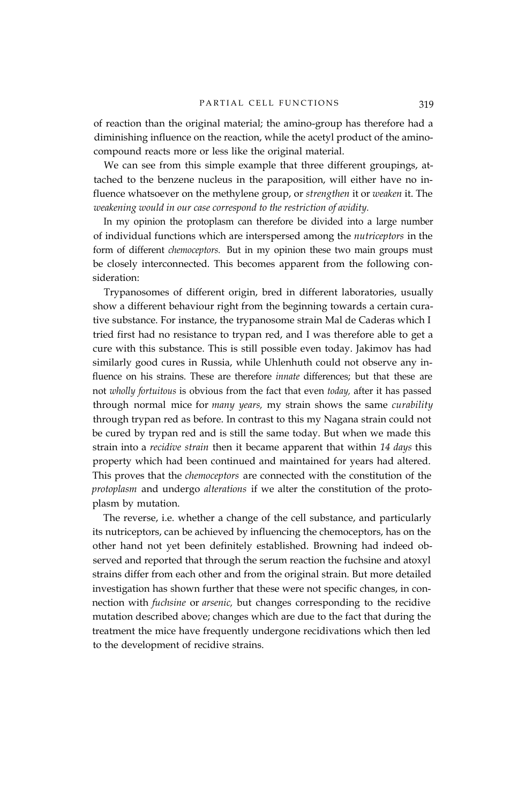of reaction than the original material; the amino-group has therefore had a diminishing influence on the reaction, while the acetyl product of the aminocompound reacts more or less like the original material.

We can see from this simple example that three different groupings, attached to the benzene nucleus in the paraposition, will either have no influence whatsoever on the methylene group, or *strengthen* it or *weaken* it. The *weakening would in our case correspond to the restriction of avidity.*

In my opinion the protoplasm can therefore be divided into a large number of individual functions which are interspersed among the *nutriceptors* in the form of different *chemoceptors.* But in my opinion these two main groups must be closely interconnected. This becomes apparent from the following consideration:

Trypanosomes of different origin, bred in different laboratories, usually show a different behaviour right from the beginning towards a certain curative substance. For instance, the trypanosome strain Mal de Caderas which I tried first had no resistance to trypan red, and I was therefore able to get a cure with this substance. This is still possible even today. Jakimov has had similarly good cures in Russia, while Uhlenhuth could not observe any influence on his strains. These are therefore *innate* differences; but that these are not *wholly fortuitous* is obvious from the fact that even *today,* after it has passed through normal mice for *many years,* my strain shows the same *curability* through trypan red as before. In contrast to this my Nagana strain could not be cured by trypan red and is still the same today. But when we made this strain into a *recidive strain* then it became apparent that within *14 days* this property which had been continued and maintained for years had altered. This proves that the *chemoceptors* are connected with the constitution of the *protoplasm* and undergo *alterations* if we alter the constitution of the protoplasm by mutation.

The reverse, i.e. whether a change of the cell substance, and particularly its nutriceptors, can be achieved by influencing the chemoceptors, has on the other hand not yet been definitely established. Browning had indeed observed and reported that through the serum reaction the fuchsine and atoxyl strains differ from each other and from the original strain. But more detailed investigation has shown further that these were not specific changes, in connection with *fuchsine* or *arsenic,* but changes corresponding to the recidive mutation described above; changes which are due to the fact that during the treatment the mice have frequently undergone recidivations which then led to the development of recidive strains.